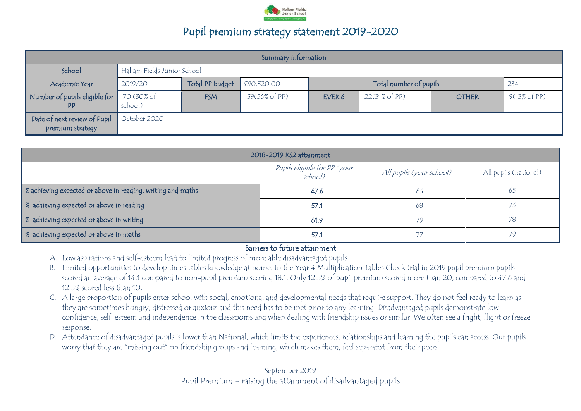

| Summary information                              |                             |                 |               |        |                          |              |                         |
|--------------------------------------------------|-----------------------------|-----------------|---------------|--------|--------------------------|--------------|-------------------------|
| School                                           | Hallam Fields Junior School |                 |               |        |                          |              |                         |
| Academic Year                                    | 2019/20                     | Total PP budget | €90,320.00    |        | Total number of pupils   |              | 234                     |
| Number of pupils eligible for<br><b>PP</b>       | 70 (30% of<br>school)       | <b>FSM</b>      | 39(56% of PP) | EVER 6 | $22(31\% \text{ of PP})$ | <b>OTHER</b> | $9(13\% \text{ of PP})$ |
| Date of next review of Pupil<br>premium strategy | October 2020                |                 |               |        |                          |              |                         |

| 2018-2019 KS2 attainment                                    |                                         |                          |                       |  |
|-------------------------------------------------------------|-----------------------------------------|--------------------------|-----------------------|--|
|                                                             | Pupils eligible for PP (your<br>school) | All pupils (your school) | All pupils (national) |  |
| % achieving expected or above in reading, writing and maths | 47.6                                    | 63                       | 65                    |  |
| % achieving expected or above in reading                    | 57.1                                    | 68                       |                       |  |
| % achieving expected or above in writing                    | 61.9                                    | 79                       | 78                    |  |
| % achieving expected or above in maths                      | 57.1                                    |                          | 79                    |  |

#### Barriers to future attainment

- A. Low aspirations and self-esteem lead to limited progress of more able disadvantaged pupils.
- B. Limited opportunities to develop times tables knowledge at home. In the Year 4 Multiplication Tables Check trial in 2019 pupil premium pupils scored an average of 14.1 compared to non-pupil premium scoring 18.1. Only 12.5% of pupil premium scored more than 20, compared to 47.6 and 12.5% scored less than 10.
- C. A large proportion of pupils enter school with social, emotional and developmental needs that require support. They do not feel ready to learn as they are sometimes hungry, distressed or anxious and this need has to be met prior to any learning. Disadvantaged pupils demonstrate low confidence, self-esteem and independence in the classrooms and when dealing with friendship issues or similar. We often see a fright, flight or freeze response.
- D. Attendance of disadvantaged pupils is lower than National, which limits the experiences, relationships and learning the pupils can access. Our pupils worry that they are "missing out" on friendship groups and learning, which makes them, feel separated from their peers.

September 2019 Pupil Premium – raising the attainment of disadvantaged pupils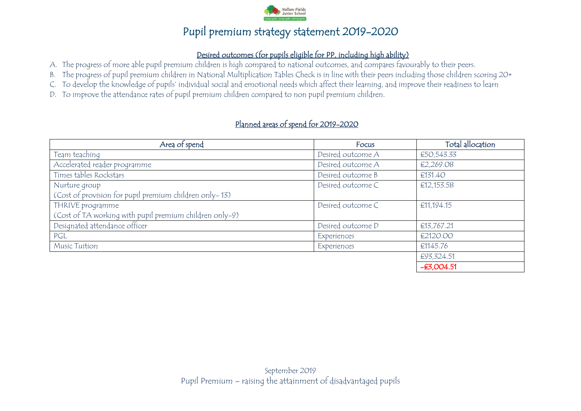

### Desired outcomes (for pupils eligible for PP, including high ability)

- A. The progress of more able pupil premium children is high compared to national outcomes, and compares favourably to their peers.
- B. The progress of pupil premium children in National Multiplication Tables Check is in line with their peers including those children scoring 20+
- C. To develop the knowledge of pupils' individual social and emotional needs which affect their learning, and improve their readiness to learn
- D. To improve the attendance rates of pupil premium children compared to non pupil premium children.

### Planned areas of spend for 2019-2020

| Area of spend                                           | Focus             | Total allocation |
|---------------------------------------------------------|-------------------|------------------|
| Team teaching                                           | Desired outcome A | €50,543.33       |
| Accelerated reader programme                            | Desired outcome A | €2,269.08        |
| Times tables Rockstars                                  | Desired outcome B | €131.40          |
| Nurture group                                           | Desired outcome C | €12,153.58       |
| (Cost of provision for pupil premium children only-13)  |                   |                  |
| THRIVE programme                                        | Desired outcome C | €11,194.15       |
| (Cost of TA working with pupil premium children only-9) |                   |                  |
| Designated attendance officer                           | Desired outcome D | €13,767.21       |
| PGL                                                     | Experiences       | €2120.00         |
| <b>Music Tuition</b>                                    | Experiences       | €1145.76         |
|                                                         |                   | €93,324.51       |
|                                                         |                   | $-E3,004.51$     |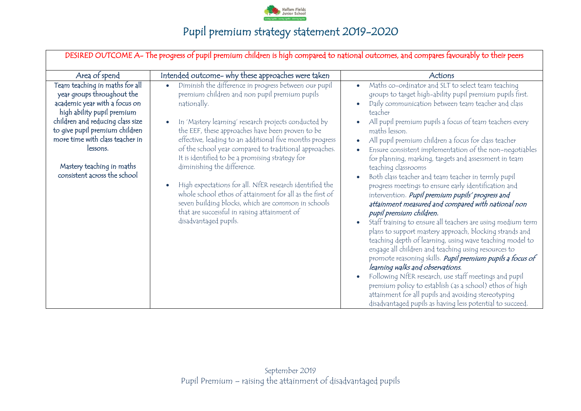

| DESIRED OUTCOME A- The progress of pupil premium children is high compared to national outcomes, and compares favourably to their peers                                                                                                                                                                       |                                                                                                                                                                                                                                                                                                                                                                                                                                                                                                                                                                                                                                                               |                                                                                                                                                                                                                                                                                                                                                                                                                                                                                                                                                                                                                                                                                                       |  |  |  |
|---------------------------------------------------------------------------------------------------------------------------------------------------------------------------------------------------------------------------------------------------------------------------------------------------------------|---------------------------------------------------------------------------------------------------------------------------------------------------------------------------------------------------------------------------------------------------------------------------------------------------------------------------------------------------------------------------------------------------------------------------------------------------------------------------------------------------------------------------------------------------------------------------------------------------------------------------------------------------------------|-------------------------------------------------------------------------------------------------------------------------------------------------------------------------------------------------------------------------------------------------------------------------------------------------------------------------------------------------------------------------------------------------------------------------------------------------------------------------------------------------------------------------------------------------------------------------------------------------------------------------------------------------------------------------------------------------------|--|--|--|
| Area of spend                                                                                                                                                                                                                                                                                                 | Intended outcome- why these approaches were taken                                                                                                                                                                                                                                                                                                                                                                                                                                                                                                                                                                                                             | Actions                                                                                                                                                                                                                                                                                                                                                                                                                                                                                                                                                                                                                                                                                               |  |  |  |
| Team teaching in maths for all<br>year groups throughout the<br>academic year with a focus on<br>high ability pupil premium<br>children and reducing class size<br>to give pupil premium children<br>more time with class teacher in<br>lessons.<br>Mastery teaching in maths<br>consistent across the school | Diminish the difference in progress between our pupil<br>$\bullet$<br>premium children and non pupil premium pupils<br>nationally.<br>In 'Mastery learning' research projects conducted by<br>$\bullet$<br>the EEF, these approaches have been proven to be<br>effective, leading to an additional five months progress<br>of the school year compared to traditional approaches.<br>It is identified to be a promising strategy for<br>diminishing the difference.<br>High expectations for all. NfER research identified the<br>$\bullet$<br>whole school ethos of attainment for all as the first of<br>seven building blocks, which are common in schools | Maths co-ordinator and SLT to select team teaching<br>$\bullet$<br>groups to target high-ability pupil premium pupils first.<br>Daily communication between team teacher and class<br>teacher<br>All pupil premium pupils a focus of team teachers every<br>maths lesson.<br>All pupil premium children a focus for class teacher<br>Ensure consistent implementation of the non-negotiables<br>for planning, marking, targets and assessment in team<br>teaching classrooms<br>Both class teacher and team teacher in termly pupil<br>progress meetings to ensure early identification and<br>intervention. Pupil premium pupils' progress and<br>attainment measured and compared with national non |  |  |  |
|                                                                                                                                                                                                                                                                                                               | that are successful in raising attainment of<br>disadvantaged pupils.                                                                                                                                                                                                                                                                                                                                                                                                                                                                                                                                                                                         | pupil premium children.<br>Staff training to ensure all teachers are using medium term<br>plans to support mastery approach, blocking strands and<br>teaching depth of learning, using wave teaching model to<br>engage all children and teaching using resources to<br>promote reasoning skills. Pupil premium pupils a focus of<br>learning walks and observations.<br>Following NfER research, use staff meetings and pupil<br>premium policy to establish (as a school) ethos of high<br>attainment for all pupils and avoiding stereotyping<br>disadvantaged pupils as having less potential to succeed.                                                                                         |  |  |  |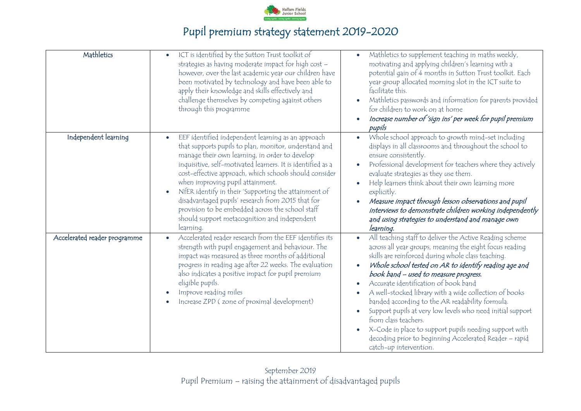

| Mathletics                   | ICT is identified by the Sutton Trust toolkit of<br>$\bullet$<br>strategies as having moderate impact for high cost -<br>however, over the last academic year our children have<br>been motivated by technology and have been able to<br>apply their knowledge and skills effectively and<br>challenge themselves by competing against others<br>through this programme                                                                                                                                                                                               | Mathletics to supplement teaching in maths weekly,<br>$\bullet$<br>motivating and applying children's learning with a<br>potential gain of 4 months in Sutton Trust toolkit. Each<br>year group allocated morning slot in the ICT suite to<br>facilitate this.<br>Mathletics passwords and information for parents provided<br>for children to work on at home<br>Increase number of 'sign ins' per week for pupil premium<br>pupils                                                                                                                                                                                                                                             |
|------------------------------|-----------------------------------------------------------------------------------------------------------------------------------------------------------------------------------------------------------------------------------------------------------------------------------------------------------------------------------------------------------------------------------------------------------------------------------------------------------------------------------------------------------------------------------------------------------------------|----------------------------------------------------------------------------------------------------------------------------------------------------------------------------------------------------------------------------------------------------------------------------------------------------------------------------------------------------------------------------------------------------------------------------------------------------------------------------------------------------------------------------------------------------------------------------------------------------------------------------------------------------------------------------------|
| Independent learning         | EEF identified independent learning as an approach<br>that supports pupils to plan, monitor, understand and<br>manage their own learning, in order to develop<br>inquisitive, self-motivated learners. It is identified as a<br>cost-effective approach, which schools should consider<br>when improving pupil attainment.<br>NfER identify in their 'Supporting the attainment of<br>$\bullet$<br>disadvantaged pupils' research from 2015 that for<br>provision to be embedded across the school staff<br>should support metacognition and independent<br>learning. | Whole school approach to growth mind-set including<br>$\bullet$<br>displays in all classrooms and throughout the school to<br>ensure consistently.<br>Professional development for teachers where they actively<br>evaluate strategies as they use them.<br>Help learners think about their own learning more<br>explicitly.<br>Measure impact through lesson observations and pupil<br>interviews to demonstrate children working independently<br>and using strategies to understand and manage own<br>learning.                                                                                                                                                               |
| Accelerated reader programme | Accelerated reader research from the EEF identifies its<br>strength with pupil engagement and behaviour. The<br>impact was measured as three months of additional<br>progress in reading age after 22 weeks. The evaluation<br>also indicates a positive impact for pupil premium<br>eligible pupils.<br>Improve reading miles<br>Increase ZPD (zone of proximal development)                                                                                                                                                                                         | All teaching staff to deliver the Active Reading scheme<br>$\bullet$<br>across all year groups, meaning the eight focus reading<br>skills are reinforced during whole class teaching.<br>Whole school tested on AR to identify reading age and<br>book band - used to measure progress.<br>Accurate identification of book band<br>A well-stocked library with a wide collection of books<br>banded according to the AR readability formula.<br>Support pupils at very low levels who need initial support<br>from class teachers.<br>X-Code in place to support pupils needing support with<br>decoding prior to beginning Accelerated Reader - rapid<br>catch-up intervention. |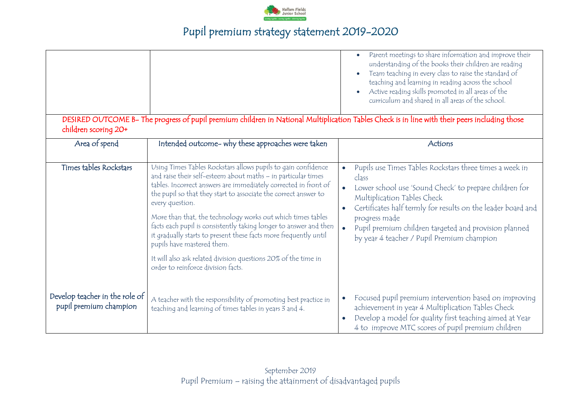

|                                                          | DESIRED OUTCOME B- The progress of pupil premium children in National Multiplication Tables Check is in line with their peers including those                                                                                                                                                                                                                                                                                                                                                                                                                                                                                         | Parent meetings to share information and improve their<br>$\bullet$<br>understanding of the books their children are reading<br>Team teaching in every class to raise the standard of<br>teaching and learning in reading across the school<br>Active reading skills promoted in all areas of the<br>curriculum and shared in all areas of the school. |
|----------------------------------------------------------|---------------------------------------------------------------------------------------------------------------------------------------------------------------------------------------------------------------------------------------------------------------------------------------------------------------------------------------------------------------------------------------------------------------------------------------------------------------------------------------------------------------------------------------------------------------------------------------------------------------------------------------|--------------------------------------------------------------------------------------------------------------------------------------------------------------------------------------------------------------------------------------------------------------------------------------------------------------------------------------------------------|
| children scoring 20+<br>Area of spend                    | Intended outcome- why these approaches were taken                                                                                                                                                                                                                                                                                                                                                                                                                                                                                                                                                                                     | Actions                                                                                                                                                                                                                                                                                                                                                |
| Times tables Rockstars                                   | Using Times Tables Rockstars allows pupils to gain confidence<br>and raise their self-esteem about maths - in particular times<br>tables. Incorrect answers are immediately corrected in front of<br>the pupil so that they start to associate the correct answer to<br>every question.<br>More than that, the technology works out which times tables<br>facts each pupil is consistently taking longer to answer and then<br>it gradually starts to present these facts more frequently until<br>pupils have mastered them.<br>It will also ask related division questions 20% of the time in<br>order to reinforce division facts. | Pupils use Times Tables Rockstars three times a week in<br>class<br>Lower school use 'Sound Check' to prepare children for<br>Multiplication Tables Check<br>Certificates half termly for results on the leader board and<br>progress made<br>Pupil premium children targeted and provision planned<br>by year 4 teacher / Pupil Premium champion      |
| Develop teacher in the role of<br>pupil premium champion | A teacher with the responsibility of promoting best practice in<br>teaching and learning of times tables in years 3 and 4.                                                                                                                                                                                                                                                                                                                                                                                                                                                                                                            | Focused pupil premium intervention based on improving<br>achievement in year 4 Multiplication Tables Check<br>Develop a model for quality first teaching aimed at Year<br>4 to improve MTC scores of pupil premium children                                                                                                                            |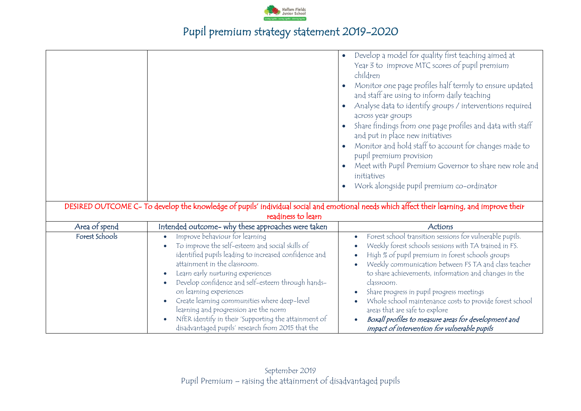

|                |                                                                                                                                                                                                                                                                                                                                                                                                                                                                                                       | Develop a model for quality first teaching aimed at<br>$\bullet$<br>Year 3 to improve MTC scores of pupil premium<br>children<br>Monitor one page profiles half termly to ensure updated<br>and staff are using to inform daily teaching<br>Analyse data to identify groups / interventions required<br>across year groups<br>Share findings from one page profiles and data with staff<br>and put in place new initiatives<br>Monitor and hold staff to account for changes made to<br>pupil premium provision<br>Meet with Pupil Premium Governor to share new role and<br>initiatives<br>Work alongside pupil premium co-ordinator             |
|----------------|-------------------------------------------------------------------------------------------------------------------------------------------------------------------------------------------------------------------------------------------------------------------------------------------------------------------------------------------------------------------------------------------------------------------------------------------------------------------------------------------------------|---------------------------------------------------------------------------------------------------------------------------------------------------------------------------------------------------------------------------------------------------------------------------------------------------------------------------------------------------------------------------------------------------------------------------------------------------------------------------------------------------------------------------------------------------------------------------------------------------------------------------------------------------|
|                | DESIRED OUTCOME C- To develop the knowledge of pupils' individual social and emotional needs which affect their learning, and improve their                                                                                                                                                                                                                                                                                                                                                           |                                                                                                                                                                                                                                                                                                                                                                                                                                                                                                                                                                                                                                                   |
|                | readiness to learn                                                                                                                                                                                                                                                                                                                                                                                                                                                                                    |                                                                                                                                                                                                                                                                                                                                                                                                                                                                                                                                                                                                                                                   |
| Area of spend  | Intended outcome- why these approaches were taken                                                                                                                                                                                                                                                                                                                                                                                                                                                     | Actions                                                                                                                                                                                                                                                                                                                                                                                                                                                                                                                                                                                                                                           |
| Forest Schools | Improve behaviour for learning<br>To improve the self-esteem and social skills of<br>identified pupils leading to increased confidence and<br>attainment in the classroom.<br>Learn early nurturing experiences<br>Develop confidence and self-esteem through hands-<br>on learning experiences<br>Create learning communities where deep-level<br>learning and progression are the norm<br>NfER identify in their 'Supporting the attainment of<br>disadvantaged pupils' research from 2015 that the | Forest school transition sessions for vulnerable pupils.<br>$\bullet$<br>Weekly forest schools sessions with TA trained in FS.<br>$\bullet$<br>High % of pupil premium in forest schools groups<br>$\bullet$<br>Weekly communication between FS TA and class teacher<br>$\bullet$<br>to share achievements, information and changes in the<br>classroom.<br>Share progress in pupil progress meetings<br>$\bullet$<br>Whole school maintenance costs to provide forest school<br>$\bullet$<br>areas that are safe to explore<br>Boxall profiles to measure areas for development and<br>$\bullet$<br>impact of intervention for vulnerable pupils |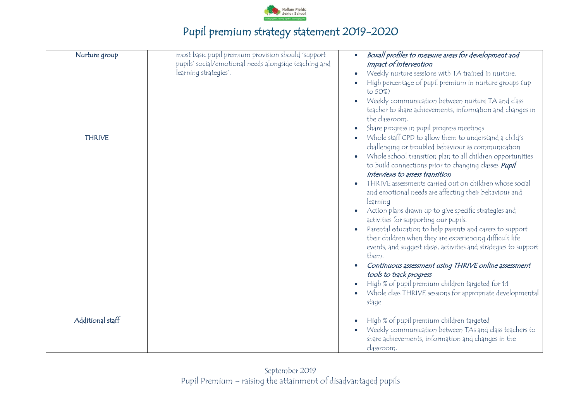

| Nurture group    | most basic pupil premium provision should 'support<br>pupils' social/emotional needs alongside teaching and<br>learning strategies'. | Boxall profiles to measure areas for development and<br>$\bullet$<br>impact of intervention<br>Weekly nurture sessions with TA trained in nurture.<br>$\bullet$<br>High percentage of pupil premium in nurture groups (up<br>$\bullet$<br>to 50%)<br>Weekly communication between nurture TA and class<br>teacher to share achievements, information and changes in<br>the classroom.                                                                                                                                                                                                                                                                                                                                                                                                                                                                                                                                                                                                                               |
|------------------|--------------------------------------------------------------------------------------------------------------------------------------|---------------------------------------------------------------------------------------------------------------------------------------------------------------------------------------------------------------------------------------------------------------------------------------------------------------------------------------------------------------------------------------------------------------------------------------------------------------------------------------------------------------------------------------------------------------------------------------------------------------------------------------------------------------------------------------------------------------------------------------------------------------------------------------------------------------------------------------------------------------------------------------------------------------------------------------------------------------------------------------------------------------------|
| <b>THRIVE</b>    |                                                                                                                                      | Share progress in pupil progress meetings<br>$\bullet$<br>Whole staff CPD to allow them to understand a child's<br>challenging or troubled behaviour as communication<br>Whole school transition plan to all children opportunities<br>to build connections prior to changing classes <i>Pupil</i><br>interviews to assess transition<br>THRIVE assessments carried out on children whose social<br>$\bullet$<br>and emotional needs are affecting their behaviour and<br>learning<br>Action plans drawn up to give specific strategies and<br>activities for supporting our pupils.<br>Parental education to help parents and carers to support<br>their children when they are experiencing difficult life<br>events, and suggest ideas, activities and strategies to support<br>them.<br>Continuous assessment using THRIVE online assessment<br>tools to track progress<br>High % of pupil premium children targeted for 1:1<br>Whole class THRIVE sessions for appropriate developmental<br>$\bullet$<br>stage |
| Additional staff |                                                                                                                                      | High % of pupil premium children targeted<br>$\bullet$<br>Weekly communication between TAs and class teachers to<br>$\bullet$<br>share achievements, information and changes in the<br>classroom.                                                                                                                                                                                                                                                                                                                                                                                                                                                                                                                                                                                                                                                                                                                                                                                                                   |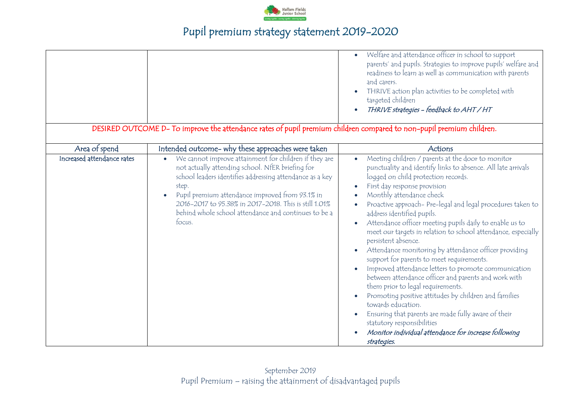

|                            | DESIRED OUTCOME D- To improve the attendance rates of pupil premium children compared to non-pupil premium children.                                                                                                                                                                                                                                                      | Welfare and attendance officer in school to support<br>$\bullet$<br>parents' and pupils. Strategies to improve pupils' welfare and<br>readiness to learn as well as communication with parents<br>and carers.<br>THRIVE action plan activities to be completed with<br>targeted children<br>THRIVE strategies - feedback to AHT / HT                                                                                                                                                                                                                                                                                                                                                                                                                                                                                                                                                                                                                                                                                                        |
|----------------------------|---------------------------------------------------------------------------------------------------------------------------------------------------------------------------------------------------------------------------------------------------------------------------------------------------------------------------------------------------------------------------|---------------------------------------------------------------------------------------------------------------------------------------------------------------------------------------------------------------------------------------------------------------------------------------------------------------------------------------------------------------------------------------------------------------------------------------------------------------------------------------------------------------------------------------------------------------------------------------------------------------------------------------------------------------------------------------------------------------------------------------------------------------------------------------------------------------------------------------------------------------------------------------------------------------------------------------------------------------------------------------------------------------------------------------------|
| Area of spend              | Intended outcome- why these approaches were taken                                                                                                                                                                                                                                                                                                                         | Actions                                                                                                                                                                                                                                                                                                                                                                                                                                                                                                                                                                                                                                                                                                                                                                                                                                                                                                                                                                                                                                     |
| Increased attendance rates | We cannot improve attainment for children if they are<br>$\bullet$<br>not actually attending school. NfER briefing for<br>school leaders identifies addressing attendance as a key<br>step.<br>Pupil premium attendance improved from 93.1% in<br>2016-2017 to 95.38% in 2017-2018. This is still 1.01%<br>behind whole school attendance and continues to be a<br>focus. | Meeting children / parents at the door to monitor<br>$\bullet$<br>punctuality and identify links to absence. All late arrivals<br>logged on child protection records.<br>First day response provision<br>$\bullet$<br>Monthly attendance check<br>$\bullet$<br>Proactive approach- Pre-legal and legal procedures taken to<br>address identified pupils.<br>Attendance officer meeting pupils daily to enable us to<br>$\bullet$<br>meet our targets in relation to school attendance, especially<br>persistent absence.<br>Attendance monitoring by attendance officer providing<br>support for parents to meet requirements.<br>Improved attendance letters to promote communication<br>$\bullet$<br>between attendance officer and parents and work with<br>them prior to legal requirements.<br>Promoting positive attitudes by children and families<br>towards education.<br>Ensuring that parents are made fully aware of their<br>statutory responsibilities<br>Monitor individual attendance for increase following<br>strategies. |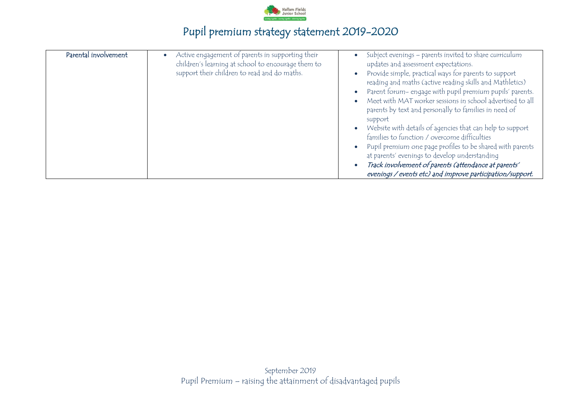

| Parental involvement | Active engagement of parents in supporting their<br>children's learning at school to encourage them to<br>support their children to read and do maths. | Subject evenings - parents invited to share curriculum<br>updates and assessment expectations.<br>Provide simple, practical ways for parents to support<br>reading and maths (active reading skills and Mathletics)<br>Parent forum- engage with pupil premium pupils' parents.<br>Meet with MAT worker sessions in school advertised to all<br>parents by text and personally to families in need of<br>support<br>Website with details of agencies that can help to support<br>families to function / overcome difficulties<br>Pupil premium one page profiles to be shared with parents<br>at parents' evenings to develop understanding<br>Track involvement of parents (attendance at parents'<br>evenings / events etc) and improve participation/support. |
|----------------------|--------------------------------------------------------------------------------------------------------------------------------------------------------|------------------------------------------------------------------------------------------------------------------------------------------------------------------------------------------------------------------------------------------------------------------------------------------------------------------------------------------------------------------------------------------------------------------------------------------------------------------------------------------------------------------------------------------------------------------------------------------------------------------------------------------------------------------------------------------------------------------------------------------------------------------|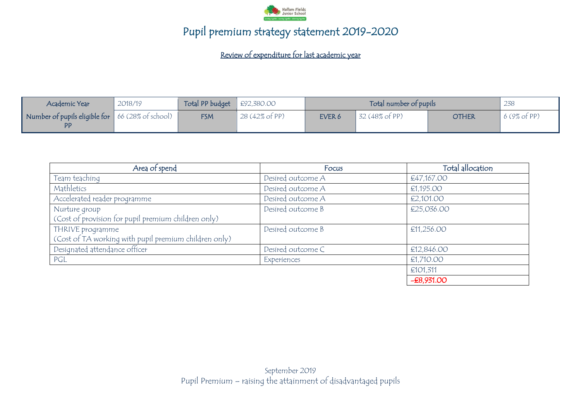

Review of expenditure for last academic year

| Academic Year                                                  | 2018/19 | Total PP budget $\left  \right.$ £92,380.00 |                |        | Total number of pupils |              | 238         |
|----------------------------------------------------------------|---------|---------------------------------------------|----------------|--------|------------------------|--------------|-------------|
| Number of pupils eligible for $\vert$ 66 (28% of school)<br>PP |         | <b>FSM</b>                                  | 28 (42% of PP) | EVER 6 | 32 (48% of PP)         | <b>OTHER</b> | 6(9% of PP) |

| Area of spend                                         | Focus             | Total allocation |
|-------------------------------------------------------|-------------------|------------------|
| Team teaching                                         | Desired outcome A | €47,167.00       |
| Mathletics                                            | Desired outcome A | €1,195.00        |
| Accelerated reader programme                          | Desired outcome A | €2,101.00        |
| Nurture group                                         | Desired outcome B | €25,036.00       |
| (Cost of provision for pupil premium children only)   |                   |                  |
| THRIVE programme                                      | Desired outcome B | €11,256.00       |
| (Cost of TA working with pupil premium children only) |                   |                  |
| Designated attendance officer                         | Desired outcome C | £12,846.00       |
| PGL                                                   | Experiences       | €1,710.00        |
|                                                       |                   | €101,311         |
|                                                       |                   | $-E8,931.00$     |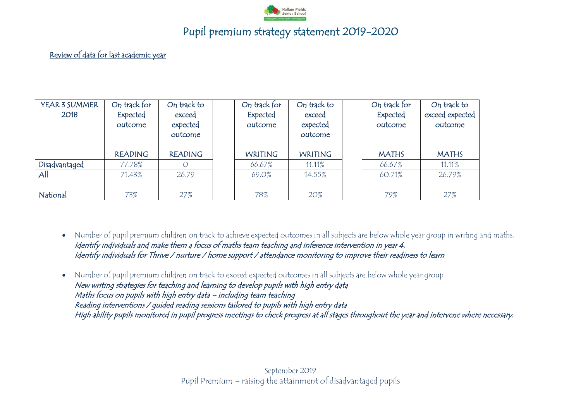

### Review of data for last academic year

| YEAR 3 SUMMER<br>2018 | On track for<br>Expected<br>outcome | On track to<br>exceed<br>expected<br>outcome | On track for<br>Expected<br>outcome | On track to<br>exceed<br>expected<br>outcome | On track for<br>Expected<br>outcome | On track to<br>exceed expected<br>outcome |
|-----------------------|-------------------------------------|----------------------------------------------|-------------------------------------|----------------------------------------------|-------------------------------------|-------------------------------------------|
|                       | <b>READING</b>                      | <b>READING</b>                               | <b>WRITING</b>                      | <b>WRITING</b>                               | <b>MATHS</b>                        | <b>MATHS</b>                              |
| Disadvantaged         | 77.78%                              |                                              | 66.67%                              | 11.11%                                       | 66.67%                              | 11.11%                                    |
| All                   | 71.43%                              | 26.79                                        | 69.0%                               | 14.55%                                       | 60.71%                              | 26.79%                                    |
| National              | 73%                                 | 27%                                          | 78%                                 | $20\%$                                       | 79%                                 | 27%                                       |

 Number of pupil premium children on track to achieve expected outcomes in all subjects are below whole year group in writing and maths. Identify individuals and make them a focus of maths team teaching and inference intervention in year 4. Identify individuals for Thrive / nurture / home support / attendance monitoring to improve their readiness to learn

 Number of pupil premium children on track to exceed expected outcomes in all subjects are below whole year group New writing strategies for teaching and learning to develop pupils with high entry data Maths focus on pupils with high entry data – including team teaching Reading interventions / guided reading sessions tailored to pupils with high entry data High ability pupils monitored in pupil progress meetings to check progress at all stages throughout the year and intervene where necessary.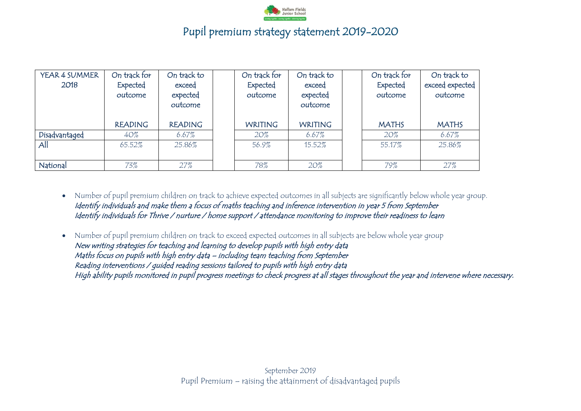

| YEAR 4 SUMMER<br>2018 | On track for<br>Expected<br>outcome | On track to<br>exceed<br>expected<br>outcome | On track for<br>Expected<br>outcome | On track to<br>exceed<br>expected<br>outcome | On track for<br>Expected<br>outcome | On track to<br>exceed expected<br>outcome |
|-----------------------|-------------------------------------|----------------------------------------------|-------------------------------------|----------------------------------------------|-------------------------------------|-------------------------------------------|
|                       | <b>READING</b>                      | <b>READING</b>                               | <b>WRITING</b>                      | <b>WRITING</b>                               | <b>MATHS</b>                        | <b>MATHS</b>                              |
| Disadvantaged         | 40%                                 | 6.67%                                        | 20%                                 | $6.67\%$                                     | $20\%$                              | 6.67%                                     |
| All                   | 65.52%                              | 25.86%                                       | 56.9%                               | 15.52%                                       | 55.17%                              | 25.86%                                    |
| National              | 73%                                 | 27%                                          | 78%                                 | 20%                                          | 79%                                 | 27%                                       |

 Number of pupil premium children on track to achieve expected outcomes in all subjects are significantly below whole year group. Identify individuals and make them a focus of maths teaching and inference intervention in year 5 from September Identify individuals for Thrive / nurture / home support / attendance monitoring to improve their readiness to learn

 Number of pupil premium children on track to exceed expected outcomes in all subjects are below whole year group New writing strategies for teaching and learning to develop pupils with high entry data Maths focus on pupils with high entry data – including team teaching from September Reading interventions / guided reading sessions tailored to pupils with high entry data High ability pupils monitored in pupil progress meetings to check progress at all stages throughout the year and intervene where necessary.